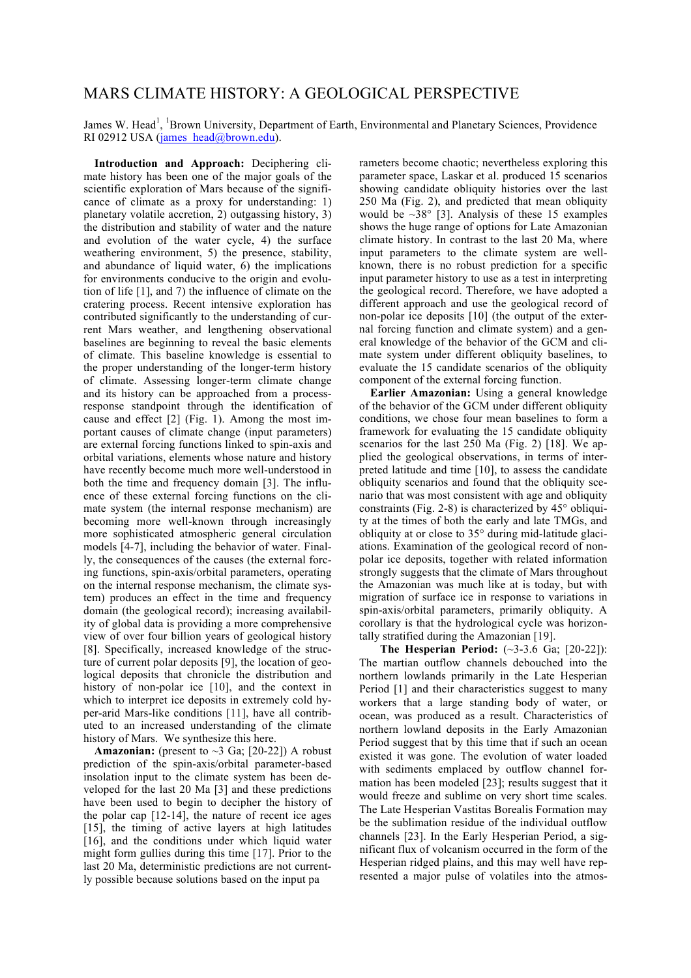## MARS CLIMATE HISTORY: A GEOLOGICAL PERSPECTIVE

James W. Head<sup>1</sup>, <sup>1</sup>Brown University, Department of Earth, Environmental and Planetary Sciences, Providence RI 02912 USA (james\_head@brown.edu).

**Introduction and Approach:** Deciphering climate history has been one of the major goals of the scientific exploration of Mars because of the significance of climate as a proxy for understanding: 1) planetary volatile accretion, 2) outgassing history, 3) the distribution and stability of water and the nature and evolution of the water cycle, 4) the surface weathering environment, 5) the presence, stability, and abundance of liquid water,  $\overline{6}$ ) the implications for environments conducive to the origin and evolution of life [1], and 7) the influence of climate on the cratering process. Recent intensive exploration has contributed significantly to the understanding of current Mars weather, and lengthening observational baselines are beginning to reveal the basic elements of climate. This baseline knowledge is essential to the proper understanding of the longer-term history of climate. Assessing longer-term climate change and its history can be approached from a processresponse standpoint through the identification of cause and effect [2] (Fig. 1). Among the most important causes of climate change (input parameters) are external forcing functions linked to spin-axis and orbital variations, elements whose nature and history have recently become much more well-understood in both the time and frequency domain [3]. The influence of these external forcing functions on the climate system (the internal response mechanism) are becoming more well-known through increasingly more sophisticated atmospheric general circulation models [4-7], including the behavior of water. Finally, the consequences of the causes (the external forcing functions, spin-axis/orbital parameters, operating on the internal response mechanism, the climate system) produces an effect in the time and frequency domain (the geological record); increasing availability of global data is providing a more comprehensive view of over four billion years of geological history [8]. Specifically, increased knowledge of the structure of current polar deposits [9], the location of geological deposits that chronicle the distribution and history of non-polar ice [10], and the context in which to interpret ice deposits in extremely cold hyper-arid Mars-like conditions [11], have all contributed to an increased understanding of the climate history of Mars. We synthesize this here.

**Amazonian:** (present to  $\sim$ 3 Ga; [20-22]) A robust prediction of the spin-axis/orbital parameter-based insolation input to the climate system has been developed for the last 20 Ma [3] and these predictions have been used to begin to decipher the history of the polar cap [12-14], the nature of recent ice ages [15], the timing of active layers at high latitudes [16], and the conditions under which liquid water might form gullies during this time [17]. Prior to the last 20 Ma, deterministic predictions are not currently possible because solutions based on the input pa

rameters become chaotic; nevertheless exploring this parameter space, Laskar et al. produced 15 scenarios showing candidate obliquity histories over the last 250 Ma (Fig. 2), and predicted that mean obliquity would be  $\sim 38^{\circ}$  [3]. Analysis of these 15 examples shows the huge range of options for Late Amazonian climate history. In contrast to the last 20 Ma, where input parameters to the climate system are wellknown, there is no robust prediction for a specific input parameter history to use as a test in interpreting the geological record. Therefore, we have adopted a different approach and use the geological record of non-polar ice deposits [10] (the output of the external forcing function and climate system) and a general knowledge of the behavior of the GCM and climate system under different obliquity baselines, to evaluate the 15 candidate scenarios of the obliquity component of the external forcing function.

**Earlier Amazonian:** Using a general knowledge of the behavior of the GCM under different obliquity conditions, we chose four mean baselines to form a framework for evaluating the 15 candidate obliquity scenarios for the last 250 Ma (Fig. 2) [18]. We applied the geological observations, in terms of interpreted latitude and time [10], to assess the candidate obliquity scenarios and found that the obliquity scenario that was most consistent with age and obliquity constraints (Fig. 2-8) is characterized by 45° obliquity at the times of both the early and late TMGs, and obliquity at or close to 35° during mid-latitude glaciations. Examination of the geological record of nonpolar ice deposits, together with related information strongly suggests that the climate of Mars throughout the Amazonian was much like at is today, but with migration of surface ice in response to variations in spin-axis/orbital parameters, primarily obliquity. A corollary is that the hydrological cycle was horizontally stratified during the Amazonian [19].

**The Hesperian Period:** (~3-3.6 Ga; [20-22]): The martian outflow channels debouched into the northern lowlands primarily in the Late Hesperian Period [1] and their characteristics suggest to many workers that a large standing body of water, or ocean, was produced as a result. Characteristics of northern lowland deposits in the Early Amazonian Period suggest that by this time that if such an ocean existed it was gone. The evolution of water loaded with sediments emplaced by outflow channel formation has been modeled [23]; results suggest that it would freeze and sublime on very short time scales. The Late Hesperian Vastitas Borealis Formation may be the sublimation residue of the individual outflow channels [23]. In the Early Hesperian Period, a significant flux of volcanism occurred in the form of the Hesperian ridged plains, and this may well have represented a major pulse of volatiles into the atmos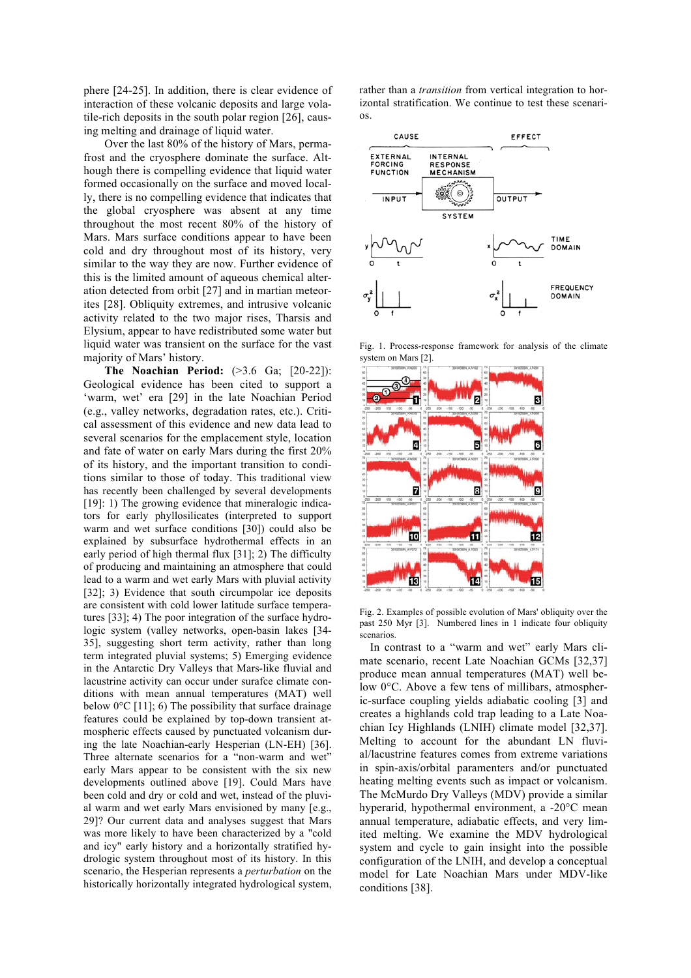phere [24-25]. In addition, there is clear evidence of interaction of these volcanic deposits and large volatile-rich deposits in the south polar region [26], causing melting and drainage of liquid water.

Over the last 80% of the history of Mars, permafrost and the cryosphere dominate the surface. Although there is compelling evidence that liquid water formed occasionally on the surface and moved locally, there is no compelling evidence that indicates that the global cryosphere was absent at any time throughout the most recent 80% of the history of Mars. Mars surface conditions appear to have been cold and dry throughout most of its history, very similar to the way they are now. Further evidence of this is the limited amount of aqueous chemical alteration detected from orbit [27] and in martian meteorites [28]. Obliquity extremes, and intrusive volcanic activity related to the two major rises, Tharsis and Elysium, appear to have redistributed some water but liquid water was transient on the surface for the vast majority of Mars' history.

**The Noachian Period:** (>3.6 Ga; [20-22]): Geological evidence has been cited to support a 'warm, wet' era [29] in the late Noachian Period (e.g., valley networks, degradation rates, etc.). Critical assessment of this evidence and new data lead to several scenarios for the emplacement style, location and fate of water on early Mars during the first 20% of its history, and the important transition to conditions similar to those of today. This traditional view has recently been challenged by several developments [19]: 1) The growing evidence that mineralogic indicators for early phyllosilicates (interpreted to support warm and wet surface conditions [30]) could also be explained by subsurface hydrothermal effects in an early period of high thermal flux [31]; 2) The difficulty of producing and maintaining an atmosphere that could lead to a warm and wet early Mars with pluvial activity [32]; 3) Evidence that south circumpolar ice deposits are consistent with cold lower latitude surface temperatures [33]; 4) The poor integration of the surface hydrologic system (valley networks, open-basin lakes [34- 35], suggesting short term activity, rather than long term integrated pluvial systems; 5) Emerging evidence in the Antarctic Dry Valleys that Mars-like fluvial and lacustrine activity can occur under surafce climate conditions with mean annual temperatures (MAT) well below  $0^{\circ}$ C [11]; 6) The possibility that surface drainage features could be explained by top-down transient atmospheric effects caused by punctuated volcanism during the late Noachian-early Hesperian (LN-EH) [36]. Three alternate scenarios for a "non-warm and wet" early Mars appear to be consistent with the six new developments outlined above [19]. Could Mars have been cold and dry or cold and wet, instead of the pluvial warm and wet early Mars envisioned by many [e.g., 29]? Our current data and analyses suggest that Mars was more likely to have been characterized by a "cold and icy" early history and a horizontally stratified hydrologic system throughout most of its history. In this scenario, the Hesperian represents a *perturbation* on the historically horizontally integrated hydrological system, rather than a *transition* from vertical integration to horizontal stratification. We continue to test these scenarios.



Fig. 1. Process-response framework for analysis of the climate system on Mars [2].



Fig. 2. Examples of possible evolution of Mars' obliquity over the past 250 Myr [3]. Numbered lines in 1 indicate four obliquity scenarios.

In contrast to a "warm and wet" early Mars climate scenario, recent Late Noachian GCMs [32,37] produce mean annual temperatures (MAT) well below 0°C. Above a few tens of millibars, atmospheric-surface coupling yields adiabatic cooling [3] and creates a highlands cold trap leading to a Late Noachian Icy Highlands (LNIH) climate model [32,37]. Melting to account for the abundant LN fluvial/lacustrine features comes from extreme variations in spin-axis/orbital paramenters and/or punctuated heating melting events such as impact or volcanism. The McMurdo Dry Valleys (MDV) provide a similar hyperarid, hypothermal environment, a -20°C mean annual temperature, adiabatic effects, and very limited melting. We examine the MDV hydrological system and cycle to gain insight into the possible configuration of the LNIH, and develop a conceptual model for Late Noachian Mars under MDV-like conditions [38].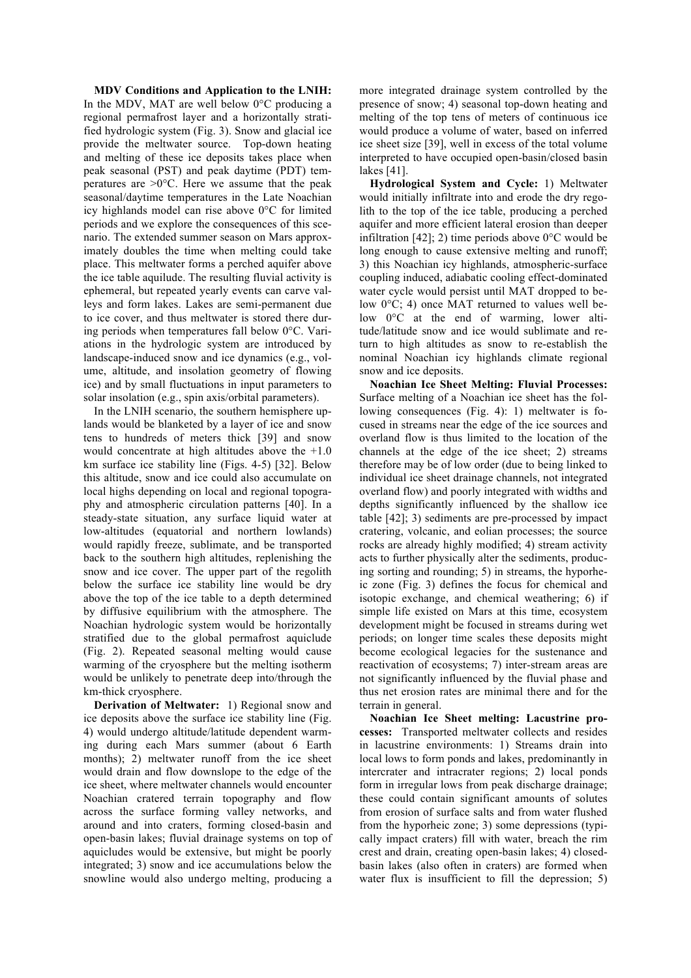**MDV Conditions and Application to the LNIH:** In the MDV, MAT are well below  $0^{\circ}$ C producing a regional permafrost layer and a horizontally stratified hydrologic system (Fig. 3). Snow and glacial ice provide the meltwater source. Top-down heating and melting of these ice deposits takes place when peak seasonal (PST) and peak daytime (PDT) temperatures are  $>0$ °C. Here we assume that the peak seasonal/daytime temperatures in the Late Noachian icy highlands model can rise above 0°C for limited periods and we explore the consequences of this scenario. The extended summer season on Mars approximately doubles the time when melting could take place. This meltwater forms a perched aquifer above the ice table aquilude. The resulting fluvial activity is ephemeral, but repeated yearly events can carve valleys and form lakes. Lakes are semi-permanent due to ice cover, and thus meltwater is stored there during periods when temperatures fall below 0°C. Variations in the hydrologic system are introduced by landscape-induced snow and ice dynamics (e.g., volume, altitude, and insolation geometry of flowing ice) and by small fluctuations in input parameters to solar insolation (e.g., spin axis/orbital parameters).

In the LNIH scenario, the southern hemisphere uplands would be blanketed by a layer of ice and snow tens to hundreds of meters thick [39] and snow would concentrate at high altitudes above the +1.0 km surface ice stability line (Figs. 4-5) [32]. Below this altitude, snow and ice could also accumulate on local highs depending on local and regional topography and atmospheric circulation patterns [40]. In a steady-state situation, any surface liquid water at low-altitudes (equatorial and northern lowlands) would rapidly freeze, sublimate, and be transported back to the southern high altitudes, replenishing the snow and ice cover. The upper part of the regolith below the surface ice stability line would be dry above the top of the ice table to a depth determined by diffusive equilibrium with the atmosphere. The Noachian hydrologic system would be horizontally stratified due to the global permafrost aquiclude (Fig. 2). Repeated seasonal melting would cause warming of the cryosphere but the melting isotherm would be unlikely to penetrate deep into/through the km-thick cryosphere.

**Derivation of Meltwater:** 1) Regional snow and ice deposits above the surface ice stability line (Fig. 4) would undergo altitude/latitude dependent warming during each Mars summer (about 6 Earth months); 2) meltwater runoff from the ice sheet would drain and flow downslope to the edge of the ice sheet, where meltwater channels would encounter Noachian cratered terrain topography and flow across the surface forming valley networks, and around and into craters, forming closed-basin and open-basin lakes; fluvial drainage systems on top of aquicludes would be extensive, but might be poorly integrated; 3) snow and ice accumulations below the snowline would also undergo melting, producing a

more integrated drainage system controlled by the presence of snow; 4) seasonal top-down heating and melting of the top tens of meters of continuous ice would produce a volume of water, based on inferred ice sheet size [39], well in excess of the total volume interpreted to have occupied open-basin/closed basin lakes [41].

**Hydrological System and Cycle:** 1) Meltwater would initially infiltrate into and erode the dry regolith to the top of the ice table, producing a perched aquifer and more efficient lateral erosion than deeper infiltration [42]; 2) time periods above  $0^{\circ}$ C would be long enough to cause extensive melting and runoff; 3) this Noachian icy highlands, atmospheric-surface coupling induced, adiabatic cooling effect-dominated water cycle would persist until MAT dropped to below 0°C; 4) once MAT returned to values well below 0°C at the end of warming, lower altitude/latitude snow and ice would sublimate and return to high altitudes as snow to re-establish the nominal Noachian icy highlands climate regional snow and ice deposits.

**Noachian Ice Sheet Melting: Fluvial Processes:** Surface melting of a Noachian ice sheet has the following consequences (Fig. 4): 1) meltwater is focused in streams near the edge of the ice sources and overland flow is thus limited to the location of the channels at the edge of the ice sheet; 2) streams therefore may be of low order (due to being linked to individual ice sheet drainage channels, not integrated overland flow) and poorly integrated with widths and depths significantly influenced by the shallow ice table [42]; 3) sediments are pre-processed by impact cratering, volcanic, and eolian processes; the source rocks are already highly modified; 4) stream activity acts to further physically alter the sediments, producing sorting and rounding; 5) in streams, the hyporheic zone (Fig. 3) defines the focus for chemical and isotopic exchange, and chemical weathering; 6) if simple life existed on Mars at this time, ecosystem development might be focused in streams during wet periods; on longer time scales these deposits might become ecological legacies for the sustenance and reactivation of ecosystems; 7) inter-stream areas are not significantly influenced by the fluvial phase and thus net erosion rates are minimal there and for the terrain in general.

**Noachian Ice Sheet melting: Lacustrine processes:** Transported meltwater collects and resides in lacustrine environments: 1) Streams drain into local lows to form ponds and lakes, predominantly in intercrater and intracrater regions; 2) local ponds form in irregular lows from peak discharge drainage; these could contain significant amounts of solutes from erosion of surface salts and from water flushed from the hyporheic zone; 3) some depressions (typically impact craters) fill with water, breach the rim crest and drain, creating open-basin lakes; 4) closedbasin lakes (also often in craters) are formed when water flux is insufficient to fill the depression; 5)